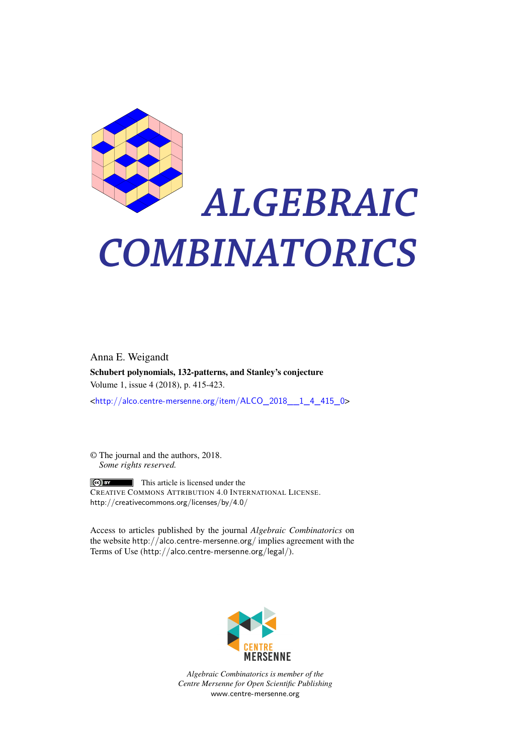

# *ALGEBRAIC COMBINATORICS*

Anna E. Weigandt Schubert polynomials, 132-patterns, and Stanley's conjecture Volume 1, issue 4 (2018), p. 415-423. <[http://alco.centre-mersenne.org/item/ALCO\\_2018\\_\\_1\\_4\\_415\\_0](http://alco.centre-mersenne.org/item/ALCO_2018__1_4_415_0)>

© The journal and the authors, 2018. *Some rights reserved.*

This article is licensed under the CREATIVE COMMONS ATTRIBUTION 4.0 INTERNATIONAL LICENSE. <http://creativecommons.org/licenses/by/4.0/>

Access to articles published by the journal *Algebraic Combinatorics* on the website <http://alco.centre-mersenne.org/> implies agreement with the Terms of Use (<http://alco.centre-mersenne.org/legal/>).



*Algebraic Combinatorics is member of the Centre Mersenne for Open Scientific Publishing* <www.centre-mersenne.org>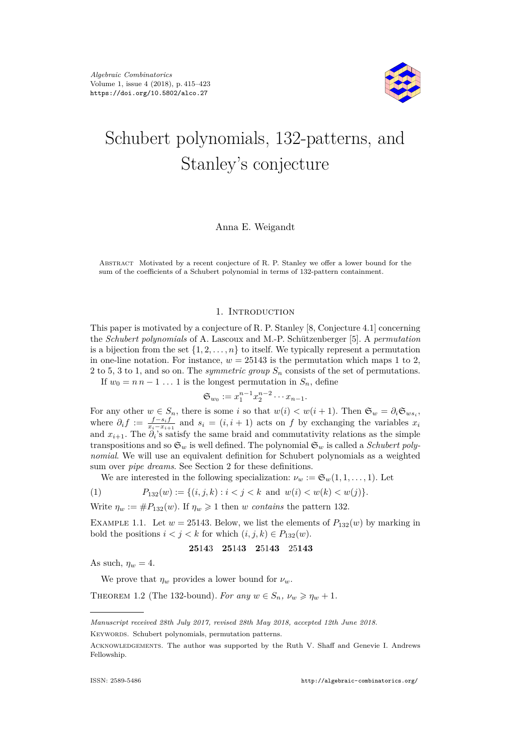

# Schubert polynomials, 132-patterns, and Stanley's conjecture

# Anna E. Weigandt

Abstract Motivated by a recent conjecture of R. P. Stanley we offer a lower bound for the sum of the coefficients of a Schubert polynomial in terms of 132-pattern containment.

# 1. INTRODUCTION

This paper is motivated by a conjecture of R. P. Stanley [\[8,](#page-9-0) Conjecture 4.1] concerning the *Schubert polynomials* of A. Lascoux and M.-P. Schützenberger [\[5\]](#page-9-1). A *permutation* is a bijection from the set  $\{1, 2, \ldots, n\}$  to itself. We typically represent a permutation in one-line notation. For instance,  $w = 25143$  is the permutation which maps 1 to 2, 2 to 5, 3 to 1, and so on. The *symmetric group*  $S_n$  consists of the set of permutations.

If  $w_0 = n n - 1 ... 1$  is the longest permutation in  $S_n$ , define

$$
\mathfrak{S}_{w_0} := x_1^{n-1} x_2^{n-2} \cdots x_{n-1}.
$$

For any other  $w \in S_n$ , there is some *i* so that  $w(i) < w(i+1)$ . Then  $\mathfrak{S}_w = \partial_i \mathfrak{S}_{ws_i}$ , where  $\partial_i f := \frac{f - s_i f}{x_i - x_{i+1}}$  and  $s_i = (i, i + 1)$  acts on *f* by exchanging the variables  $x_i$ and  $x_{i+1}$ . The  $\partial_i$ 's satisfy the same braid and commutativity relations as the simple transpositions and so  $\mathfrak{S}_w$  is well defined. The polynomial  $\mathfrak{S}_w$  is called a *Schubert polynomial*. We will use an equivalent definition for Schubert polynomials as a weighted sum over *pipe dreams*. See Section [2](#page-2-0) for these definitions.

We are interested in the following specialization:  $\nu_w := \mathfrak{S}_w(1,1,\ldots,1)$ . Let

(1) 
$$
P_{132}(w) := \{(i, j, k) : i < j < k \text{ and } w(i) < w(k) < w(j)\}.
$$

Write  $\eta_w := \#P_{132}(w)$ . If  $\eta_w \geq 1$  then *w contains* the pattern 132.

<span id="page-1-1"></span>EXAMPLE 1.1. Let  $w = 25143$ . Below, we list the elements of  $P_{132}(w)$  by marking in bold the positions  $i < j < k$  for which  $(i, j, k) \in P_{132}(w)$ .

# **25**1**4**3 **25**14**3 2**51**43** 25**143**

As such,  $\eta_w = 4$ .

We prove that  $\eta_w$  provides a lower bound for  $\nu_w$ .

<span id="page-1-0"></span>THEOREM 1.2 (The 132-bound). For any  $w \in S_n$ ,  $\nu_w \geq \eta_w + 1$ .

*Manuscript received 28th July 2017, revised 28th May 2018, accepted 12th June 2018.*

KEYWORDS. Schubert polynomials, permutation patterns.

Acknowledgements. The author was supported by the Ruth V. Shaff and Genevie I. Andrews Fellowship.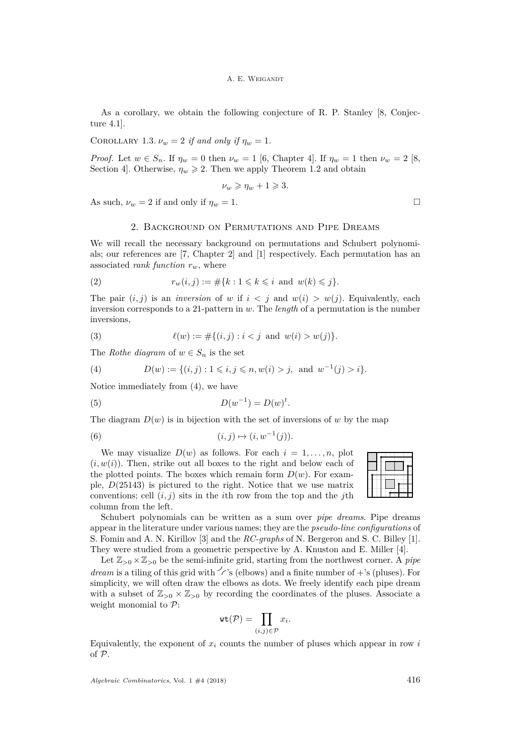#### A. E. WEIGANDT

As a corollary, we obtain the following conjecture of R. P. Stanley [\[8,](#page-9-0) Conjecture 4.1].

COROLLARY 1.3.  $\nu_w = 2$  *if and only if*  $\eta_w = 1$ .

*Proof.* Let  $w \in S_n$ . If  $\eta_w = 0$  then  $\nu_w = 1$  [\[6,](#page-9-2) Chapter 4]. If  $\eta_w = 1$  then  $\nu_w = 2$  [\[8,](#page-9-0) Section 4]. Otherwise,  $\eta_w \geq 2$ . Then we apply Theorem [1.2](#page-1-0) and obtain

$$
\nu_w \geqslant \eta_w + 1 \geqslant 3.
$$

As such,  $\nu_w = 2$  if and only if  $\eta_w = 1$ .

#### <span id="page-2-3"></span>2. Background on Permutations and Pipe Dreams

<span id="page-2-0"></span>We will recall the necessary background on permutations and Schubert polynomials; our references are [\[7,](#page-9-3) Chapter 2] and [\[1\]](#page-9-4) respectively. Each permutation has an associated *rank function rw*, where

(2) 
$$
r_w(i,j) := \#\{k: 1 \leq k \leq i \text{ and } w(k) \leq j\}.
$$

The pair  $(i, j)$  is an *inversion* of *w* if  $i < j$  and  $w(i) > w(j)$ . Equivalently, each inversion corresponds to a 21-pattern in *w*. The *length* of a permutation is the number inversions,

(3) 
$$
\ell(w) := \#\{(i,j) : i < j \text{ and } w(i) > w(j)\}.
$$

The *Rothe diagram* of  $w \in S_n$  is the set

<span id="page-2-1"></span>(4) 
$$
D(w) := \{(i, j) : 1 \leq i, j \leq n, w(i) > j, \text{ and } w^{-1}(j) > i\}.
$$

Notice immediately from [\(4\)](#page-2-1), we have

<span id="page-2-2"></span>(5) 
$$
D(w^{-1}) = D(w)^t.
$$

The diagram  $D(w)$  is in bijection with the set of inversions of *w* by the map

(6) 
$$
(i, j) \mapsto (i, w^{-1}(j)).
$$

We may visualize  $D(w)$  as follows. For each  $i = 1, \ldots, n$ , plot  $(i, w(i))$ . Then, strike out all boxes to the right and below each of the plotted points. The boxes which remain form  $D(w)$ . For example, *D*(25143) is pictured to the right. Notice that we use matrix conventions; cell (*i, j*) sits in the *i*th row from the top and the *j*th column from the left.



Schubert polynomials can be written as a sum over *pipe dreams*. Pipe dreams appear in the literature under various names; they are the *pseudo-line configurations* of S. Fomin and A. N. Kirillov [\[3\]](#page-9-5) and the *RC-graphs* of N. Bergeron and S. C. Billey [\[1\]](#page-9-4). They were studied from a geometric perspective by A. Knuston and E. Miller [\[4\]](#page-9-6).

Let  $\mathbb{Z}_{>0} \times \mathbb{Z}_{>0}$  be the semi-infinite grid, starting from the northwest corner. A *pipe dream* is a tiling of this grid with  $\sim$ 's (elbows) and a finite number of  $+$ 's (pluses). For simplicity, we will often draw the elbows as dots. We freely identify each pipe dream with a subset of  $\mathbb{Z}_{>0} \times \mathbb{Z}_{>0}$  by recording the coordinates of the pluses. Associate a weight monomial to  $P$ :

$$
\mathtt{wt}(\mathcal{P}) = \prod_{(i,j) \in \mathcal{P}} x_i.
$$

Equivalently, the exponent of  $x_i$  counts the number of pluses which appear in row  $i$ of P.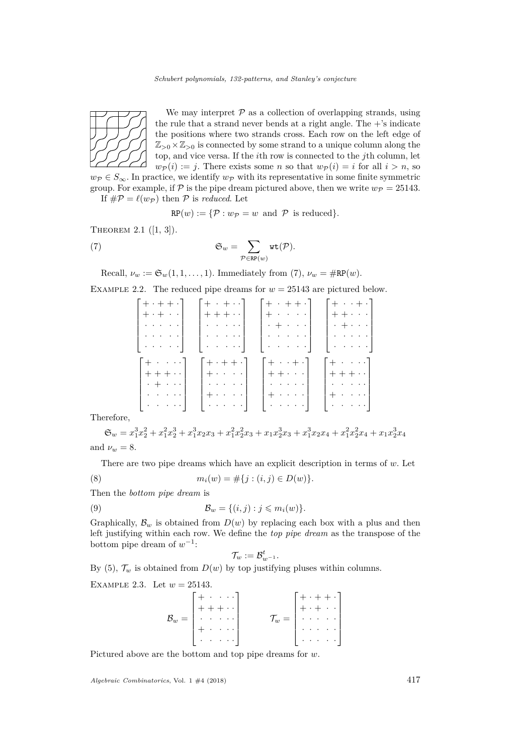

We may interpret  $P$  as a collection of overlapping strands, using the rule that a strand never bends at a right angle. The  $+$ 's indicate the positions where two strands cross. Each row on the left edge of  $\mathbb{Z}_{>0} \times \mathbb{Z}_{>0}$  is connected by some strand to a unique column along the top, and vice versa. If the *i*th row is connected to the *j*th column, let  $w_P(i) := j$ . There exists some *n* so that  $w_P(i) = i$  for all  $i > n$ , so

 $w_P \in S_\infty$ . In practice, we identify  $w_P$  with its representative in some finite symmetric group. For example, if P is the pipe dream pictured above, then we write  $w_{\mathcal{P}} = 25143$ .

If  $\#\mathcal{P} = \ell(w_{\mathcal{P}})$  then  $\mathcal P$  is *reduced*. Let

<span id="page-3-0"></span>
$$
RP(w) := \{ \mathcal{P} : w_{\mathcal{P}} = w \text{ and } \mathcal{P} \text{ is reduced} \}.
$$

THEOREM 2.1  $([1, 3])$  $([1, 3])$  $([1, 3])$  $([1, 3])$  $([1, 3])$ .

(7) 
$$
\mathfrak{S}_w = \sum_{\mathcal{P} \in \texttt{RP}(w)} \texttt{wt}(\mathcal{P}).
$$

Recall,  $\nu_w := \mathfrak{S}_w(1, 1, \ldots, 1)$ *.* Immediately from [\(7\)](#page-3-0),  $\nu_w = \text{\#RP}(w)$ *.* 

EXAMPLE 2.2. The reduced pipe dreams for  $w = 25143$  are pictured below.

| $[ + \cdot + + \cdot ]$                                               | $[+ \cdot + \cdot \cdot]$                                                    | $+ \cdot + + \cdot$                                                                                       | $+ \cdot \cdot + \cdot$ ]                                             |
|-----------------------------------------------------------------------|------------------------------------------------------------------------------|-----------------------------------------------------------------------------------------------------------|-----------------------------------------------------------------------|
| $  + \cdot + \cdot \cdot  $                                           | $+ + + \cdot \cdot$                                                          | $  + \cdot \cdot \cdot \cdot \cdot  $                                                                     | $+ + \cdot \cdot \cdot$                                               |
| $\begin{bmatrix} . & . & . & . \\ . & . & . & . \end{bmatrix}$        | $\begin{bmatrix} \cdot & \cdot & \cdot & \cdot & \cdot \end{bmatrix}$        | $ \cdot + \cdot \cdot \cdot $                                                                             | $ \cdot + \cdot \cdot \cdot $                                         |
|                                                                       | $\left[\begin{array}{ccccccccc} \ldots & \ldots & \ldots \end{array}\right]$ | $\left[\begin{array}{ccccccccc} \cdot & \cdot & \cdot & \cdot & \cdot & \cdot & \cdot \end{array}\right]$ | $\left[\begin{array}{ccc} . & . & . & . \end{array}\right]$           |
| $\begin{bmatrix} \cdot & \cdot & \cdot & \cdot & \cdot \end{bmatrix}$ | $\begin{bmatrix} \cdot & \cdot & \cdot & \cdot & \cdot \end{bmatrix}$        | $\begin{bmatrix} \cdot & \cdot & \cdot & \cdot & \cdot \end{bmatrix}$                                     | $\begin{bmatrix} \cdot & \cdot & \cdot & \cdot & \cdot \end{bmatrix}$ |
|                                                                       |                                                                              |                                                                                                           |                                                                       |
| $  + \cdot \cdot \cdot \cdot  $                                       | $  + \cdot + + \cdot  $                                                      | $  + \cdot \cdot + \cdot  $                                                                               | $[+ \cdot \cdot \cdot \cdot]$                                         |
|                                                                       |                                                                              |                                                                                                           |                                                                       |
| $+ + + \cdots$                                                        | $  + \cdot \cdot \cdot \cdot  $                                              | $+ + \cdot \cdot \cdot$                                                                                   | $ +++ $                                                               |
| $ \cdot + \cdot \cdot \cdot $                                         |                                                                              | $\begin{bmatrix} . & . & . & . \end{bmatrix}$                                                             |                                                                       |
| $\begin{bmatrix} \cdot & \cdot & \cdot & \cdot & \cdot \end{bmatrix}$ | $  + \cdot \cdot \cdot \cdot  $                                              | $  + \cdot \cdot \cdot \cdot  $                                                                           | $  + \cdot \cdot \cdot \cdot  $                                       |

Therefore,

$$
\mathfrak{S}_w = x_1^3 x_2^2 + x_1^2 x_2^3 + x_1^3 x_2 x_3 + x_1^2 x_2^2 x_3 + x_1 x_2^3 x_3 + x_1^3 x_2 x_4 + x_1^2 x_2^2 x_4 + x_1 x_2^3 x_4
$$
  
and  $\nu_w = 8$ .

There are two pipe dreams which have an explicit description in terms of *w*. Let

(8) 
$$
m_i(w) = \#\{j : (i,j) \in D(w)\}.
$$

Then the *bottom pipe dream* is

(9) 
$$
\mathcal{B}_w = \{(i,j) : j \leqslant m_i(w)\}.
$$

Graphically,  $\mathcal{B}_w$  is obtained from  $D(w)$  by replacing each box with a plus and then left justifying within each row. We define the *top pipe dream* as the transpose of the bottom pipe dream of  $w^{-1}$ :

<span id="page-3-1"></span>
$$
\mathcal{T}_w := \mathcal{B}^t_{w^{-1}}.
$$

By [\(5\)](#page-2-2),  $\mathcal{T}_w$  is obtained from  $D(w)$  by top justifying pluses within columns.

EXAMPLE 2.3. Let  $w = 25143$ .

|         | $  + \cdot \cdot \cdot \cdot  $                                                                                  | $\begin{bmatrix} + & + & + & \cdot \\ + & + & + & \cdot & \cdot \end{bmatrix}$                                |
|---------|------------------------------------------------------------------------------------------------------------------|---------------------------------------------------------------------------------------------------------------|
|         | $+ + + \cdot \cdot$                                                                                              |                                                                                                               |
| $B_w =$ | $\{ \alpha_1, \alpha_2, \alpha_3, \alpha_4 \}$<br>$\bullet$                                                      | $\mathcal{T}_w =  \cdot \cdot \cdot \cdot \cdot $                                                             |
|         | $\left\{ \begin{array}{ccc} \cdot & \cdot & \cdot & \cdot \\ \cdot & \cdot & \cdot & \cdot \end{array} \right\}$ | $\mathbb{R}^n$ , $\mathbb{R}^n$ , $\mathbb{R}^n$ , $\mathbb{R}^n$                                             |
|         |                                                                                                                  | $\begin{array}{cccccccccc} \cdot & \cdot & \cdot & \cdot & \cdot & \cdot & \cdot & \cdot & \cdot \end{array}$ |

Pictured above are the bottom and top pipe dreams for *w*.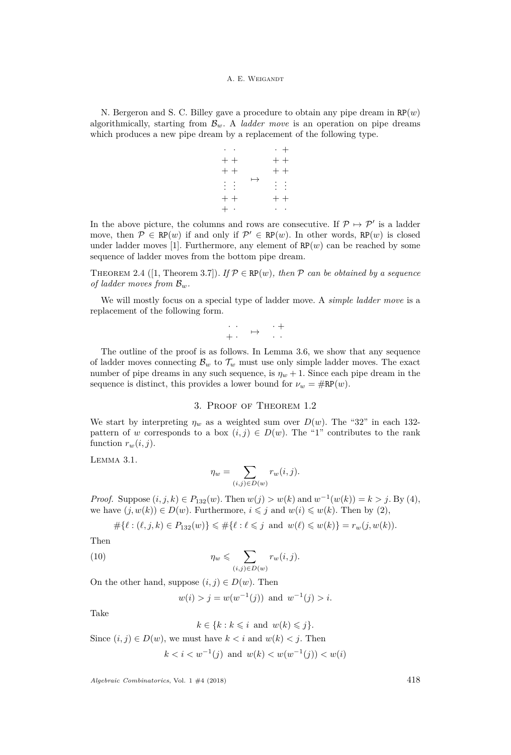# A. E. WEIGANDT

N. Bergeron and S. C. Billey gave a procedure to obtain any pipe dream in  $RP(w)$ algorithmically, starting from  $B_w$ . A *ladder move* is an operation on pipe dreams which produces a new pipe dream by a replacement of the following type.

|               |           | $\cdot +$     |
|---------------|-----------|---------------|
| $++$          |           | $++$          |
| $++$          |           | $++$          |
| $\frac{1}{2}$ | $\mapsto$ | $\frac{1}{2}$ |
|               |           |               |
| $++$          |           | $++$          |
| $+ \cdot$     |           |               |

In the above picture, the columns and rows are consecutive. If  $\mathcal{P} \mapsto \mathcal{P}'$  is a ladder move, then  $\mathcal{P} \in \mathbb{RP}(w)$  if and only if  $\mathcal{P}' \in \mathbb{RP}(w)$ . In other words,  $\mathbb{RP}(w)$  is closed under ladder moves [\[1\]](#page-9-4). Furthermore, any element of  $RP(w)$  can be reached by some sequence of ladder moves from the bottom pipe dream.

<span id="page-4-1"></span>THEOREM 2.4 ([\[1,](#page-9-4) Theorem 3.7]). *If*  $P \in RP(w)$ , then P can be obtained by a sequence *of ladder moves from* B*w.*

We will mostly focus on a special type of ladder move. A *simple ladder move* is a replacement of the following form.

$$
\begin{array}{cccc}\cdot & \cdot & \mapsto & \cdot + \\
+ & \mapsto & \cdot & \cdot\n\end{array}
$$

The outline of the proof is as follows. In Lemma [3.6,](#page-6-0) we show that any sequence of ladder moves connecting  $\mathcal{B}_w$  to  $\mathcal{T}_w$  must use only simple ladder moves. The exact number of pipe dreams in any such sequence, is  $\eta_w + 1$ . Since each pipe dream in the sequence is distinct, this provides a lower bound for  $\nu_w = \text{HRP}(w)$ .

# 3. Proof of Theorem [1.2](#page-1-0)

We start by interpreting  $\eta_w$  as a weighted sum over  $D(w)$ . The "32" in each 132pattern of *w* corresponds to a box  $(i, j) \in D(w)$ . The "1" contributes to the rank function  $r_w(i, j)$ .

<span id="page-4-0"></span>Lemma 3.1.

$$
\eta_w = \sum_{(i,j)\in D(w)} r_w(i,j).
$$

*Proof.* Suppose  $(i, j, k) \in P_{132}(w)$ . Then  $w(j) > w(k)$  and  $w^{-1}(w(k)) = k > j$ . By [\(4\)](#page-2-1), we have  $(j, w(k)) \in D(w)$ . Furthermore,  $i \leq j$  and  $w(i) \leq w(k)$ . Then by [\(2\)](#page-2-3),

$$
\#\{\ell : (\ell, j, k) \in P_{132}(w)\} \leq \#\{\ell : \ell \leq j \text{ and } w(\ell) \leq w(k)\} = r_w(j, w(k)).
$$

Then

(10) 
$$
\eta_w \leqslant \sum_{(i,j)\in D(w)} r_w(i,j).
$$

On the other hand, suppose  $(i, j) \in D(w)$ . Then

$$
w(i) > j = w(w^{-1}(j))
$$
 and  $w^{-1}(j) > i$ .

Take

 $k \in \{k : k \leq i \text{ and } w(k) \leq j\}.$ 

Since  $(i, j) \in D(w)$ , we must have  $k < i$  and  $w(k) < j$ . Then  $k < i < w^{-1}(j)$  and  $w(k) < w(w^{-1}(j)) < w(i)$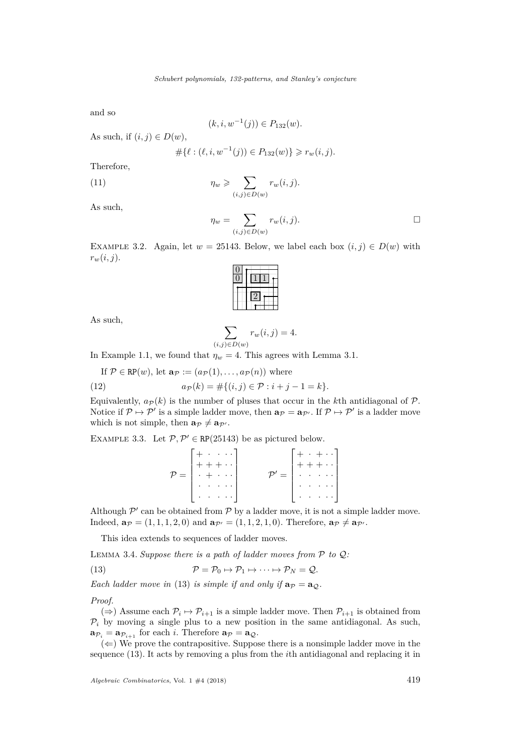and so

$$
(k, i, w^{-1}(j)) \in P_{132}(w).
$$

As such, if  $(i, j) \in D(w)$ ,

$$
\#\{\ell : (\ell, i, w^{-1}(j)) \in P_{132}(w)\} \geq r_w(i, j).
$$

Therefore,

(11) 
$$
\eta_w \geqslant \sum_{(i,j)\in D(w)} r_w(i,j).
$$

As such,

$$
\eta_w = \sum_{(i,j)\in D(w)} r_w(i,j).
$$

EXAMPLE 3.2. Again, let  $w = 25143$ . Below, we label each box  $(i, j) \in D(w)$  with  $r_w(i,j)$ .

As such,

$$
\sum_{(j)\in D(w)} r_w(i,j) = 4.
$$

In Example [1.1,](#page-1-1) we found that  $\eta_w = 4$ . This agrees with Lemma [3.1.](#page-4-0)

<span id="page-5-1"></span>(*i,j*)∈*D*(*w*)

If  $\mathcal{P} \in \text{RP}(w)$ , let  $\mathbf{a}_{\mathcal{P}} := (a_{\mathcal{P}}(1), \ldots, a_{\mathcal{P}}(n))$  where

(12)  $a_{\mathcal{P}}(k) = \#\{(i, j) \in \mathcal{P} : i + j - 1 = k\}.$ 

Equivalently,  $a_{\mathcal{P}}(k)$  is the number of pluses that occur in the *k*th antidiagonal of  $\mathcal{P}$ . Notice if  $\mathcal{P} \mapsto \mathcal{P}'$  is a simple ladder move, then  $\mathbf{a}_{\mathcal{P}} = \mathbf{a}_{\mathcal{P}'}$ . If  $\mathcal{P} \mapsto \mathcal{P}'$  is a ladder move which is not simple, then  $\mathbf{a}_{\mathcal{P}} \neq \mathbf{a}_{\mathcal{P}}$ .

EXAMPLE 3.3. Let  $P, P' \in RP(25143)$  be as pictured below.

|                | $\sim$ $\sim$ $\sim$ $\sim$ $\sim$<br>$+$                                                                                                                                                                                                                                                                                       |                    |  | $+ \cdot + \cdot \cdot$                                                                                                                                                                                                                                                                                                         |  |
|----------------|---------------------------------------------------------------------------------------------------------------------------------------------------------------------------------------------------------------------------------------------------------------------------------------------------------------------------------|--------------------|--|---------------------------------------------------------------------------------------------------------------------------------------------------------------------------------------------------------------------------------------------------------------------------------------------------------------------------------|--|
|                | $+ + + \cdot \cdot$                                                                                                                                                                                                                                                                                                             |                    |  | $+ + + \cdots$                                                                                                                                                                                                                                                                                                                  |  |
| $\mathcal{P}=$ | $\cdot + \cdot \cdot \cdot$                                                                                                                                                                                                                                                                                                     | $\mathcal{P}' =  $ |  | $\left\{ \left\vert \left\langle \cdot \right\rangle \right\rangle \left\langle \cdot \right\rangle \left\langle \cdot \right\rangle \left\langle \cdot \right\rangle \left\langle \cdot \right\rangle \right\}$                                                                                                                |  |
|                | $\left\{ \begin{array}{ccc} 1 & 0 & 0 & 0 & 0 \\ 0 & 0 & 0 & 0 & 0 \\ 0 & 0 & 0 & 0 & 0 \\ 0 & 0 & 0 & 0 & 0 \\ 0 & 0 & 0 & 0 & 0 \\ 0 & 0 & 0 & 0 & 0 \\ 0 & 0 & 0 & 0 & 0 \\ 0 & 0 & 0 & 0 & 0 \\ 0 & 0 & 0 & 0 & 0 \\ 0 & 0 & 0 & 0 & 0 \\ 0 & 0 & 0 & 0 & 0 \\ 0 & 0 & 0 & 0 & 0 \\ 0 & 0 & 0 & 0 & 0 \\ 0 & 0 & 0 & 0 & 0$ |                    |  | $\left\{ \begin{array}{ccc} 1 & 0 & 0 & 0 & 0 \\ 0 & 0 & 0 & 0 & 0 \\ 0 & 0 & 0 & 0 & 0 \\ 0 & 0 & 0 & 0 & 0 \\ 0 & 0 & 0 & 0 & 0 \\ 0 & 0 & 0 & 0 & 0 \\ 0 & 0 & 0 & 0 & 0 \\ 0 & 0 & 0 & 0 & 0 \\ 0 & 0 & 0 & 0 & 0 \\ 0 & 0 & 0 & 0 & 0 \\ 0 & 0 & 0 & 0 & 0 \\ 0 & 0 & 0 & 0 & 0 \\ 0 & 0 & 0 & 0 & 0 \\ 0 & 0 & 0 & 0 & 0$ |  |
|                |                                                                                                                                                                                                                                                                                                                                 |                    |  |                                                                                                                                                                                                                                                                                                                                 |  |

Although  $\mathcal{P}'$  can be obtained from  $\mathcal P$  by a ladder move, it is not a simple ladder move. Indeed,  $\mathbf{a}_{\mathcal{P}} = (1, 1, 1, 2, 0)$  and  $\mathbf{a}_{\mathcal{P}'} = (1, 1, 2, 1, 0)$ . Therefore,  $\mathbf{a}_{\mathcal{P}} \neq \mathbf{a}_{\mathcal{P}'}$ .

<span id="page-5-0"></span>This idea extends to sequences of ladder moves.

<span id="page-5-2"></span>LEMMA 3.4. *Suppose there is a path of ladder moves from*  $P$  *to*  $Q$ *:* 

(13) 
$$
\mathcal{P} = \mathcal{P}_0 \mapsto \mathcal{P}_1 \mapsto \cdots \mapsto \mathcal{P}_N = \mathcal{Q}.
$$

*Each ladder move in* [\(13\)](#page-5-0) *is simple if and only if*  $a_p = a_Q$ .

*Proof.*

 $(\Rightarrow)$  Assume each  $\mathcal{P}_i \mapsto \mathcal{P}_{i+1}$  is a simple ladder move. Then  $\mathcal{P}_{i+1}$  is obtained from  $P_i$  by moving a single plus to a new position in the same antidiagonal. As such,  $\mathbf{a}_{\mathcal{P}_i} = \mathbf{a}_{\mathcal{P}_{i+1}}$  for each *i*. Therefore  $\mathbf{a}_{\mathcal{P}} = \mathbf{a}_{\mathcal{Q}}$ .

 $(\Leftarrow)$  We prove the contrapositive. Suppose there is a nonsimple ladder move in the sequence [\(13\)](#page-5-0). It acts by removing a plus from the *i*th antidiagonal and replacing it in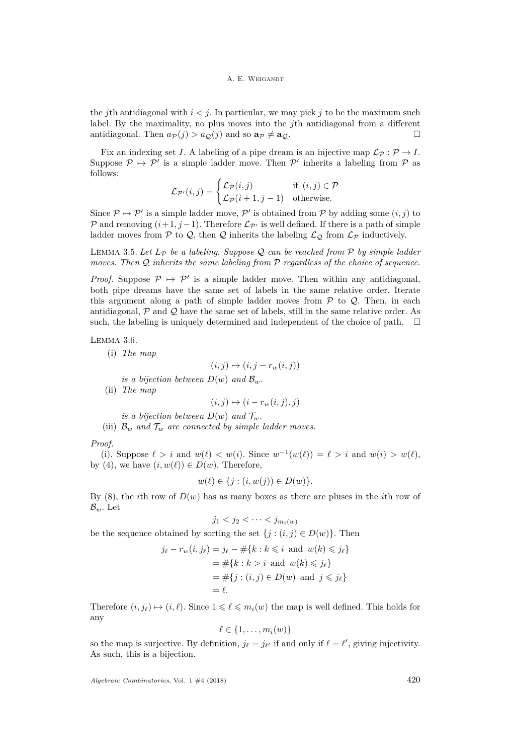the *j*th antidiagonal with  $i < j$ . In particular, we may pick *j* to be the maximum such label. By the maximality, no plus moves into the *j*th antidiagonal from a different antidiagonal. Then  $a_P(i) > a_Q(i)$  and so  $a_P \neq a_Q$ .

Fix an indexing set *I*. A labeling of a pipe dream is an injective map  $\mathcal{L}_{\mathcal{P}} : \mathcal{P} \to I$ . Suppose  $\mathcal{P} \mapsto \mathcal{P}'$  is a simple ladder move. Then  $\mathcal{P}'$  inherits a labeling from  $\mathcal{P}$  as follows:

$$
\mathcal{L}_{\mathcal{P}'}(i,j) = \begin{cases} \mathcal{L}_{\mathcal{P}}(i,j) & \text{if } (i,j) \in \mathcal{P} \\ \mathcal{L}_{\mathcal{P}}(i+1,j-1) & \text{otherwise.} \end{cases}
$$

Since  $P \mapsto P'$  is a simple ladder move, P' is obtained from P by adding some  $(i, j)$  to P and removing  $(i+1, j-1)$ . Therefore  $\mathcal{L}_{\mathcal{P}'}$  is well defined. If there is a path of simple ladder moves from  $P$  to  $Q$ , then  $Q$  inherits the labeling  $\mathcal{L}_Q$  from  $\mathcal{L}_P$  inductively.

LEMMA 3.5. Let  $L_P$  be a labeling. Suppose  $Q$  can be reached from  $P$  by simple ladder *moves. Then* Q *inherits the same labeling from* P *regardless of the choice of sequence.*

*Proof.* Suppose  $\mathcal{P} \mapsto \mathcal{P}'$  is a simple ladder move. Then within any antidiagonal, both pipe dreams have the same set of labels in the same relative order. Iterate this argument along a path of simple ladder moves from  $P$  to  $Q$ . Then, in each antidiagonal,  $P$  and  $Q$  have the same set of labels, still in the same relative order. As such, the labeling is uniquely determined and independent of the choice of path.  $\Box$ 

<span id="page-6-1"></span><span id="page-6-0"></span>LEMMA 3.6.

(i) *The map*

$$
(i,j) \mapsto (i,j - r_w(i,j))
$$

*is a bijection between*  $D(w)$  *and*  $\mathcal{B}_w$ *.* 

<span id="page-6-2"></span>(ii) *The map*

$$
(i,j) \mapsto (i - r_w(i,j), j)
$$

*is a bijection between*  $D(w)$  *and*  $\mathcal{T}_w$ *.* 

<span id="page-6-3"></span>(iii)  $\mathcal{B}_w$  *and*  $\mathcal{T}_w$  *are connected by simple ladder moves.* 

*Proof.*

[\(i\).](#page-6-1) Suppose  $\ell > i$  and  $w(\ell) < w(i)$ . Since  $w^{-1}(w(\ell)) = \ell > i$  and  $w(i) > w(\ell)$ , by [\(4\)](#page-2-1), we have  $(i, w(\ell)) \in D(w)$ . Therefore,

$$
w(\ell) \in \{j : (i, w(j)) \in D(w)\}.
$$

By  $(8)$ , the *i*th row of  $D(w)$  has as many boxes as there are pluses in the *i*th row of B*w*. Let

$$
j_1 < j_2 < \cdots < j_{m_i(w)}
$$

be the sequence obtained by sorting the set  $\{j : (i, j) \in D(w)\}\$ . Then

$$
j_{\ell} - r_w(i, j_{\ell}) = j_{\ell} - #\{k : k \leq i \text{ and } w(k) \leq j_{\ell}\}
$$
  
= #\{k : k > i \text{ and } w(k) \leq j\_{\ell}\}  
= #\{j : (i, j) \in D(w) \text{ and } j \leq j\_{\ell}\}  
= \ell.

Therefore  $(i, j_\ell) \mapsto (i, \ell)$ . Since  $1 \leq \ell \leq m_i(w)$  the map is well defined. This holds for any

$$
\ell \in \{1, \ldots, m_i(w)\}
$$

so the map is surjective. By definition,  $j_{\ell} = j_{\ell'}$  if and only if  $\ell = \ell'$ , giving injectivity. As such, this is a bijection.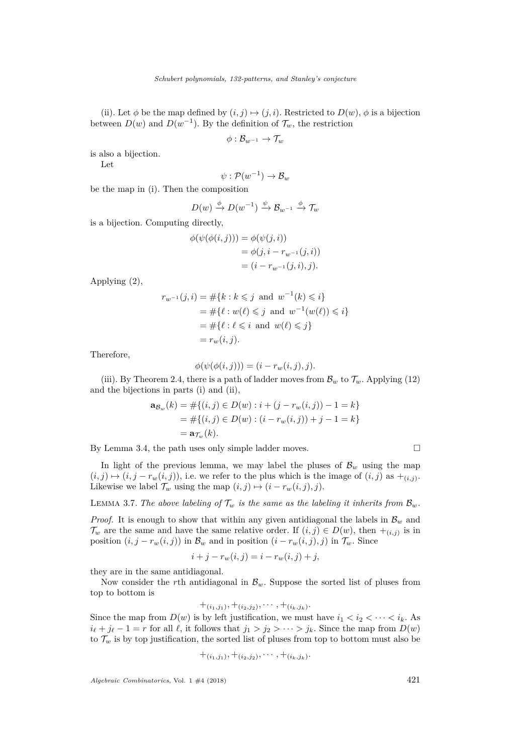[\(ii\).](#page-6-2) Let  $\phi$  be the map defined by  $(i, j) \mapsto (j, i)$ . Restricted to  $D(w)$ ,  $\phi$  is a bijection between  $D(w)$  and  $D(w^{-1})$ . By the definition of  $\mathcal{T}_w$ , the restriction

$$
\phi: \mathcal{B}_{w^{-1}} \to \mathcal{T}_{w}
$$

is also a bijection.

Let

$$
\psi: \mathcal{P}(w^{-1}) \to \mathcal{B}_w
$$

be the map in [\(i\).](#page-6-1) Then the composition

$$
D(w) \xrightarrow{\phi} D(w^{-1}) \xrightarrow{\psi} \mathcal{B}_{w^{-1}} \xrightarrow{\phi} \mathcal{T}_w
$$

is a bijection. Computing directly,

$$
\phi(\psi(\phi(i,j))) = \phi(\psi(j,i)) \n= \phi(j, i - r_{w^{-1}}(j,i)) \n= (i - r_{w^{-1}}(j,i), j).
$$

Applying [\(2\)](#page-2-3),

$$
r_{w^{-1}}(j, i) = #\{k : k \leq j \text{ and } w^{-1}(k) \leq i\}
$$
  
= #\{\ell : w(\ell) \leq j \text{ and } w^{-1}(w(\ell)) \leq i\}  
= #\{\ell : \ell \leq i \text{ and } w(\ell) \leq j\}  
= r\_w(i, j).

Therefore,

$$
\phi(\psi(\phi(i,j))) = (i - r_w(i,j), j).
$$

[\(iii\).](#page-6-3) By Theorem [2.4,](#page-4-1) there is a path of ladder moves from  $\mathcal{B}_w$  to  $\mathcal{T}_w$ . Applying [\(12\)](#page-5-1) and the bijections in parts [\(i\)](#page-6-1) and [\(ii\),](#page-6-2)

$$
\mathbf{a}_{\mathcal{B}_w}(k) = #\{(i,j) \in D(w) : i + (j - r_w(i,j)) - 1 = k\}
$$
  
= #\{(i,j) \in D(w) : (i - r\_w(i,j)) + j - 1 = k\}  
=  $\mathbf{a}_{\mathcal{T}_w}(k)$ .

By Lemma [3.4,](#page-5-2) the path uses only simple ladder moves.  $\Box$ 

In light of the previous lemma, we may label the pluses of 
$$
\mathcal{B}_w
$$
 using the map  $(i, j) \mapsto (i, j - r_w(i, j))$ , i.e. we refer to the plus which is the image of  $(i, j)$  as  $+_{(i,j)}$ .  
Likewise we label  $\mathcal{T}_w$  using the map  $(i, j) \mapsto (i - r_w(i, j), j)$ .

<span id="page-7-0"></span>LEMMA 3.7. The above labeling of  $\mathcal{T}_w$  is the same as the labeling it inherits from  $\mathcal{B}_w$ .

*Proof.* It is enough to show that within any given antidiagonal the labels in  $\mathcal{B}_w$  and  $\mathcal{T}_w$  are the same and have the same relative order. If  $(i, j) \in D(w)$ , then  $+_{(i,j)}$  is in position  $(i, j - r_w(i, j))$  in  $\mathcal{B}_w$  and in position  $(i - r_w(i, j), j)$  in  $\mathcal{T}_w$ . Since

$$
i + j - r_w(i, j) = i - r_w(i, j) + j,
$$

they are in the same antidiagonal.

Now consider the *r*th antidiagonal in  $B_w$ . Suppose the sorted list of pluses from top to bottom is

$$
+_{(i_1,j_1)}, +_{(i_2,j_2)}, \cdots, +_{(i_k,j_k)}.
$$

Since the map from  $D(w)$  is by left justification, we must have  $i_1 < i_2 < \cdots < i_k$ . As  $i_{\ell} + j_{\ell} - 1 = r$  for all  $\ell$ , it follows that  $j_1 > j_2 > \cdots > j_k$ . Since the map from  $D(w)$ to  $\mathcal{T}_w$  is by top justification, the sorted list of pluses from top to bottom must also be

$$
+_{(i_1,j_1)},+(i_2,j_2),\cdots,+_{(i_k,j_k)}.
$$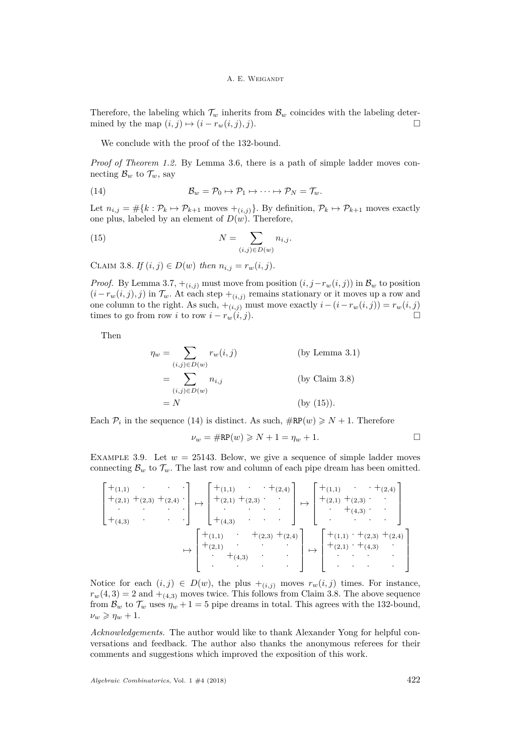# A. E. WEIGANDT

Therefore, the labeling which  $\mathcal{T}_w$  inherits from  $\mathcal{B}_w$  coincides with the labeling determined by the map  $(i, j) \mapsto (i - r_w(i, j), j)$ .

We conclude with the proof of the 132-bound.

*Proof of Theorem [1.2.](#page-1-0)* By Lemma [3.6,](#page-6-0) there is a path of simple ladder moves connecting  $\mathcal{B}_w$  to  $\mathcal{T}_w$ , say

<span id="page-8-2"></span>(14) 
$$
\mathcal{B}_w = \mathcal{P}_0 \mapsto \mathcal{P}_1 \mapsto \cdots \mapsto \mathcal{P}_N = \mathcal{T}_w.
$$

Let  $n_{i,j} = #\{k : \mathcal{P}_k \mapsto \mathcal{P}_{k+1} \text{ moves } +_{(i,j)}\}$ . By definition,  $\mathcal{P}_k \mapsto \mathcal{P}_{k+1}$  moves exactly one plus, labeled by an element of  $D(w)$ . Therefore,

<span id="page-8-1"></span>(15) 
$$
N = \sum_{(i,j)\in D(w)} n_{i,j}.
$$

<span id="page-8-0"></span>CLAIM 3.8. *If*  $(i, j) \in D(w)$  *then*  $n_{i,j} = r_w(i, j)$ .

*Proof.* By Lemma [3.7,](#page-7-0)  $+_{(i,j)}$  must move from position  $(i, j - r_w(i, j))$  in  $\mathcal{B}_w$  to position  $(i-r_w(i,j),j)$  in  $\mathcal{T}_w$ . At each step  $+_{(i,j)}$  remains stationary or it moves up a row and one column to the right. As such,  $+(i,j)$  must move exactly  $i-(i-r_w(i,j)) = r_w(i,j)$ <br>times to go from row *i* to row  $i - r_w(i,j)$ . □ times to go from row *i* to row  $i - r_w(i, j)$ .

Then

$$
\eta_w = \sum_{(i,j)\in D(w)} r_w(i,j)
$$
 (by Lemma 3.1)  
= 
$$
\sum_{(i,j)\in D(w)} n_{i,j}
$$
 (by Claim 3.8)  
= N (by (15)).

Each  $\mathcal{P}_i$  in the sequence [\(14\)](#page-8-2) is distinct. As such,  $\#\text{RP}(w) \geq N + 1$ . Therefore

$$
\nu_w = \# \text{RP}(w) \geq N + 1 = \eta_w + 1.
$$

EXAMPLE 3.9. Let  $w = 25143$ . Below, we give a sequence of simple ladder moves connecting  $\mathcal{B}_w$  to  $\mathcal{T}_w$ . The last row and column of each pipe dream has been omitted.

| $+(1,1)$                 |           |   |  | $+(1,1)$         |          |         | $\cdot$ + $(2,4)$ |                    | $+(1,1)$                      |          |   | $^{+}(2,4)$ |  |
|--------------------------|-----------|---|--|------------------|----------|---------|-------------------|--------------------|-------------------------------|----------|---|-------------|--|
| $+(2,1) + (2,3) + (2,4)$ |           |   |  | $+(2,1) + (2,3)$ |          | $\cdot$ |                   |                    | $+(2,1)$                      | $+(2,3)$ |   |             |  |
|                          | $\bullet$ | ٠ |  |                  |          |         |                   |                    |                               | $+(4,3)$ |   |             |  |
| $+(4,3)$                 |           |   |  | $+(4,3)$         |          |         |                   |                    |                               |          |   |             |  |
|                          |           |   |  | $+_{(1,1)}$      |          |         |                   | $+(2,3)$ + $(2,4)$ | $+$ (1,1) $+$ (2,3) $+$ (2,4) |          |   |             |  |
|                          |           |   |  | $+(2,1)$         |          |         |                   |                    | $+(2,1)$ $+(4,3)$             |          |   |             |  |
|                          |           |   |  |                  | $+(4,3)$ |         |                   |                    |                               |          | ٠ |             |  |
|                          |           |   |  |                  |          |         |                   |                    |                               |          |   | $\bullet$   |  |

Notice for each  $(i, j) \in D(w)$ , the plus  $+(i, j)$  moves  $r_w(i, j)$  times. For instance,  $r_w(4,3) = 2$  and  $+_{(4,3)}$  moves twice. This follows from Claim [3.8.](#page-8-0) The above sequence from  $\mathcal{B}_w$  to  $\mathcal{T}_w$  uses  $\eta_w + 1 = 5$  pipe dreams in total. This agrees with the 132-bound,  $\nu_w \geqslant \eta_w + 1$ .

*Acknowledgements.* The author would like to thank Alexander Yong for helpful conversations and feedback. The author also thanks the anonymous referees for their comments and suggestions which improved the exposition of this work.